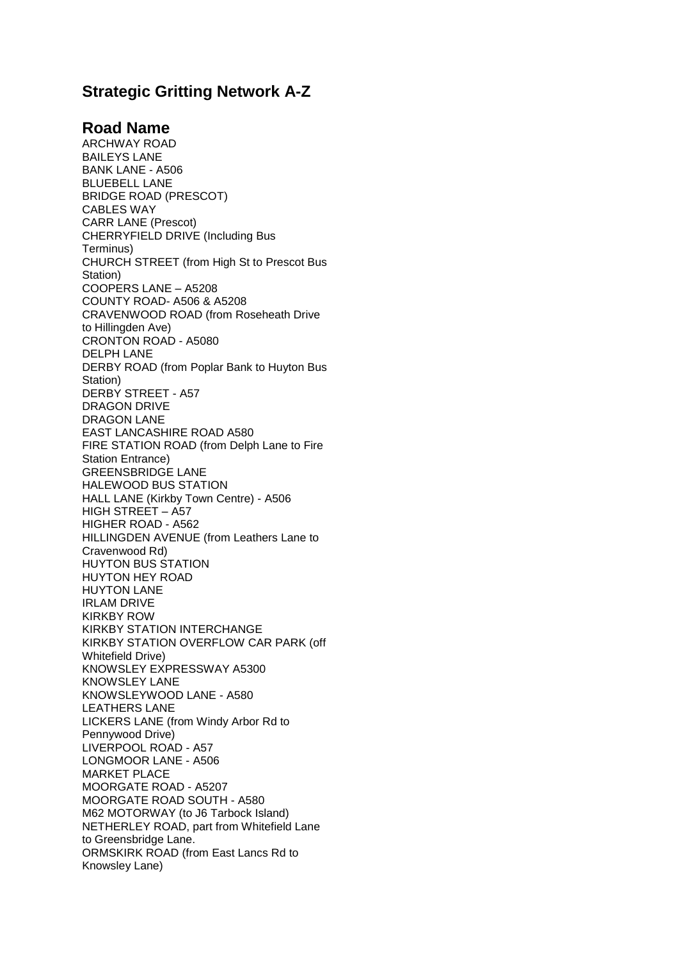## **Strategic Gritting Network A-Z**

## **Road Name**

ARCHWAY ROAD BAILEYS LANE BANK LANE - A506 BLUEBELL LANE BRIDGE ROAD (PRESCOT) CABLES WAY CARR LANE (Prescot) CHERRYFIELD DRIVE (Including Bus Terminus) CHURCH STREET (from High St to Prescot Bus Station) COOPERS LANE – A5208 COUNTY ROAD- A506 & A5208 CRAVENWOOD ROAD (from Roseheath Drive to Hillingden Ave) CRONTON ROAD - A5080 DELPH LANE DERBY ROAD (from Poplar Bank to Huyton Bus Station) DERBY STREET - A57 DRAGON DRIVE DRAGON LANE EAST LANCASHIRE ROAD A580 FIRE STATION ROAD (from Delph Lane to Fire Station Entrance) GREENSBRIDGE LANE HALEWOOD BUS STATION HALL LANE (Kirkby Town Centre) - A506 HIGH STREET – A57 HIGHER ROAD - A562 HILLINGDEN AVENUE (from Leathers Lane to Cravenwood Rd) HUYTON BUS STATION HUYTON HEY ROAD HUYTON LANE IRLAM DRIVE KIRKBY ROW KIRKBY STATION INTERCHANGE KIRKBY STATION OVERFLOW CAR PARK (off Whitefield Drive) KNOWSLEY EXPRESSWAY A5300 KNOWSLEY LANE KNOWSLEYWOOD LANE - A580 LEATHERS LANE LICKERS LANE (from Windy Arbor Rd to Pennywood Drive) LIVERPOOL ROAD - A57 LONGMOOR LANE - A506 MARKET PLACE MOORGATE ROAD - A5207 MOORGATE ROAD SOUTH - A580 M62 MOTORWAY (to J6 Tarbock Island) NETHERLEY ROAD, part from Whitefield Lane to Greensbridge Lane. ORMSKIRK ROAD (from East Lancs Rd to Knowsley Lane)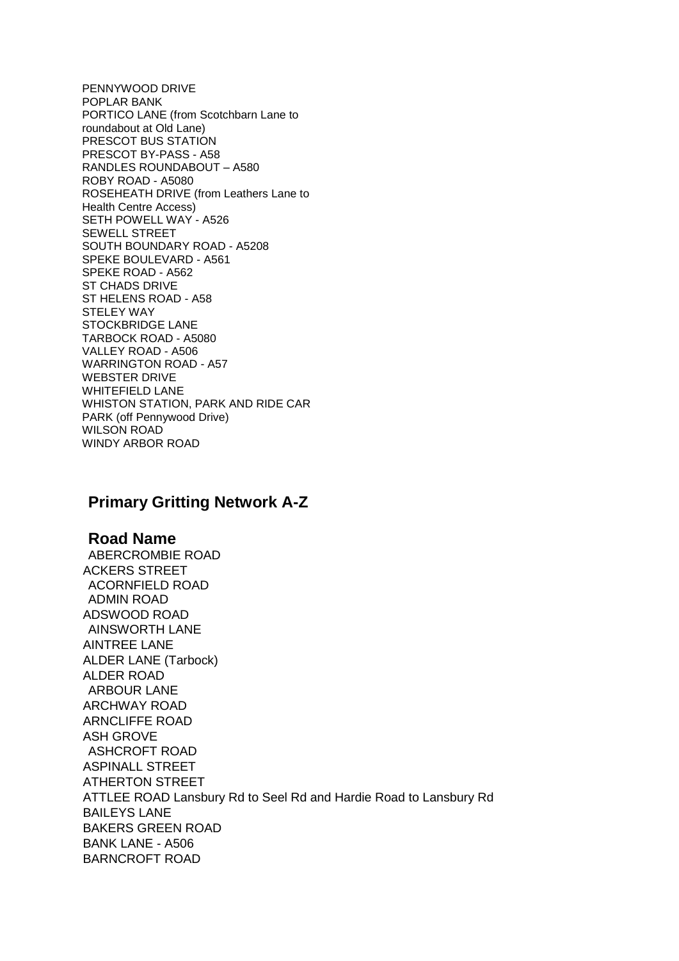PENNYWOOD DRIVE POPLAR BANK PORTICO LANE (from Scotchbarn Lane to roundabout at Old Lane) PRESCOT BUS STATION PRESCOT BY-PASS - A58 RANDLES ROUNDABOUT – A580 ROBY ROAD - A5080 ROSEHEATH DRIVE (from Leathers Lane to Health Centre Access) SETH POWELL WAY - A526 SEWELL STREET SOUTH BOUNDARY ROAD - A5208 SPEKE BOULEVARD - A561 SPEKE ROAD - A562 ST CHADS DRIVE ST HELENS ROAD - A58 STELEY WAY STOCKBRIDGE LANE TARBOCK ROAD - A5080 VALLEY ROAD - A506 WARRINGTON ROAD - A57 WEBSTER DRIVE WHITEFIELD LANE WHISTON STATION, PARK AND RIDE CAR PARK (off Pennywood Drive) WILSON ROAD WINDY ARBOR ROAD

## **Primary Gritting Network A-Z**

## **Road Name**

ABERCROMBIE ROAD ACKERS STREET ACORNFIELD ROAD ADMIN ROAD ADSWOOD ROAD AINSWORTH LANE AINTREE LANE ALDER LANE (Tarbock) ALDER ROAD ARBOUR LANE ARCHWAY ROAD ARNCLIFFE ROAD ASH GROVE ASHCROFT ROAD ASPINALL STREET ATHERTON STREET ATTLEE ROAD Lansbury Rd to Seel Rd and Hardie Road to Lansbury Rd BAILEYS LANE BAKERS GREEN ROAD BANK LANE - A506 BARNCROFT ROAD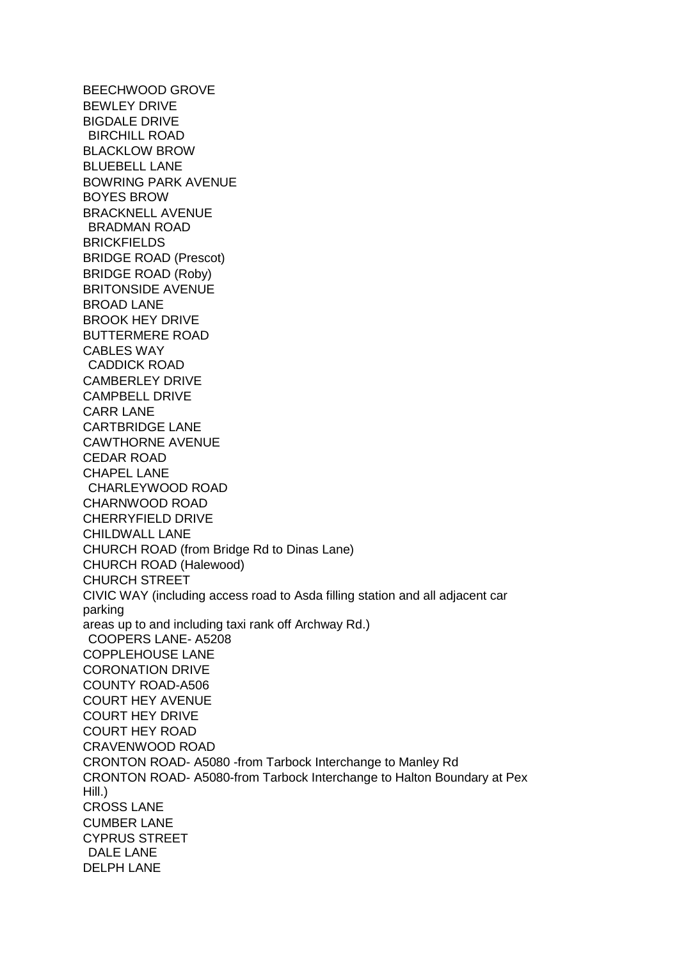BEECHWOOD GROVE BEWLEY DRIVE BIGDALE DRIVE BIRCHILL ROAD BLACKLOW BROW BLUEBELL LANE BOWRING PARK AVENUE BOYES BROW BRACKNELL AVENUE BRADMAN ROAD BRICKFIELDS BRIDGE ROAD (Prescot) BRIDGE ROAD (Roby) BRITONSIDE AVENUE BROAD LANE BROOK HEY DRIVE BUTTERMERE ROAD CABLES WAY CADDICK ROAD CAMBERLEY DRIVE CAMPBELL DRIVE CARR LANE CARTBRIDGE LANE CAWTHORNE AVENUE CEDAR ROAD CHAPEL LANE CHARLEYWOOD ROAD CHARNWOOD ROAD CHERRYFIELD DRIVE CHILDWALL LANE CHURCH ROAD (from Bridge Rd to Dinas Lane) CHURCH ROAD (Halewood) CHURCH STREET CIVIC WAY (including access road to Asda filling station and all adjacent car parking areas up to and including taxi rank off Archway Rd.) COOPERS LANE- A5208 COPPLEHOUSE LANE CORONATION DRIVE COUNTY ROAD-A506 COURT HEY AVENUE COURT HEY DRIVE COURT HEY ROAD CRAVENWOOD ROAD CRONTON ROAD- A5080 -from Tarbock Interchange to Manley Rd CRONTON ROAD- A5080-from Tarbock Interchange to Halton Boundary at Pex Hill.) CROSS LANE CUMBER LANE CYPRUS STREET DALE LANE DELPH LANE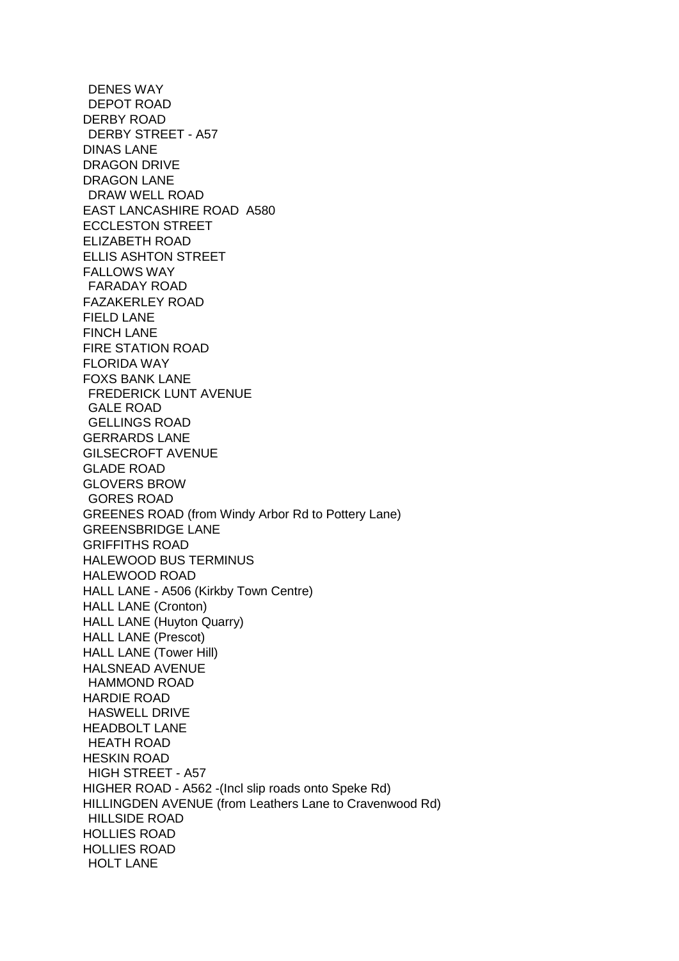DENES WAY DEPOT ROAD DERBY ROAD DERBY STREET - A57 DINAS LANE DRAGON DRIVE DRAGON LANE DRAW WELL ROAD EAST LANCASHIRE ROAD A580 ECCLESTON STREET ELIZABETH ROAD ELLIS ASHTON STREET FALLOWS WAY FARADAY ROAD FAZAKERLEY ROAD FIELD LANE FINCH LANE FIRE STATION ROAD FLORIDA WAY FOXS BANK LANE FREDERICK LUNT AVENUE GALE ROAD GELLINGS ROAD GERRARDS LANE GILSECROFT AVENUE GLADE ROAD GLOVERS BROW GORES ROAD GREENES ROAD (from Windy Arbor Rd to Pottery Lane) GREENSBRIDGE LANE GRIFFITHS ROAD HALEWOOD BUS TERMINUS HALEWOOD ROAD HALL LANE - A506 (Kirkby Town Centre) HALL LANE (Cronton) HALL LANE (Huyton Quarry) HALL LANE (Prescot) HALL LANE (Tower Hill) HALSNEAD AVENUE HAMMOND ROAD HARDIE ROAD HASWELL DRIVE HEADBOLT LANE HEATH ROAD HESKIN ROAD HIGH STREET - A57 HIGHER ROAD - A562 -(Incl slip roads onto Speke Rd) HILLINGDEN AVENUE (from Leathers Lane to Cravenwood Rd) HILLSIDE ROAD HOLLIES ROAD HOLLIES ROAD HOLT LANE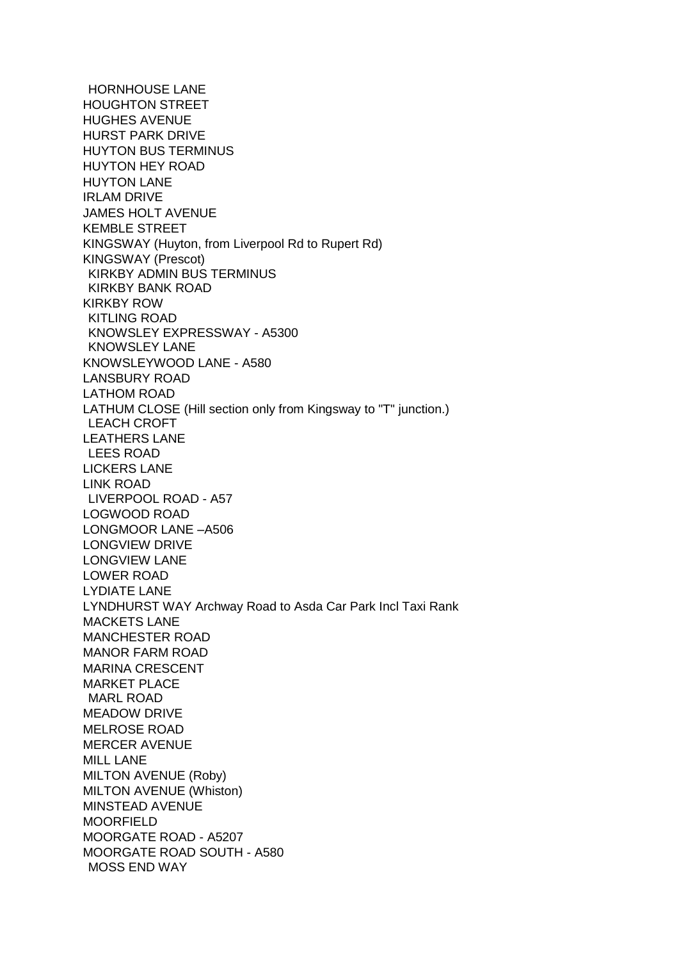HORNHOUSE LANE HOUGHTON STREET HUGHES AVENUE HURST PARK DRIVE HUYTON BUS TERMINUS HUYTON HEY ROAD HUYTON LANE IRLAM DRIVE JAMES HOLT AVENUE KEMBLE STREET KINGSWAY (Huyton, from Liverpool Rd to Rupert Rd) KINGSWAY (Prescot) KIRKBY ADMIN BUS TERMINUS KIRKBY BANK ROAD KIRKBY ROW KITLING ROAD KNOWSLEY EXPRESSWAY - A5300 KNOWSLEY LANE KNOWSLEYWOOD LANE - A580 LANSBURY ROAD LATHOM ROAD LATHUM CLOSE (Hill section only from Kingsway to "T" junction.) LEACH CROFT LEATHERS LANE LEES ROAD LICKERS LANE LINK ROAD LIVERPOOL ROAD - A57 LOGWOOD ROAD LONGMOOR LANE –A506 LONGVIEW DRIVE LONGVIEW LANE LOWER ROAD LYDIATE LANE LYNDHURST WAY Archway Road to Asda Car Park Incl Taxi Rank MACKETS LANE MANCHESTER ROAD MANOR FARM ROAD MARINA CRESCENT MARKET PLACE MARL ROAD MEADOW DRIVE MELROSE ROAD MERCER AVENUE MILL LANE MILTON AVENUE (Roby) MILTON AVENUE (Whiston) MINSTEAD AVENUE MOORFIELD MOORGATE ROAD - A5207 MOORGATE ROAD SOUTH - A580 MOSS END WAY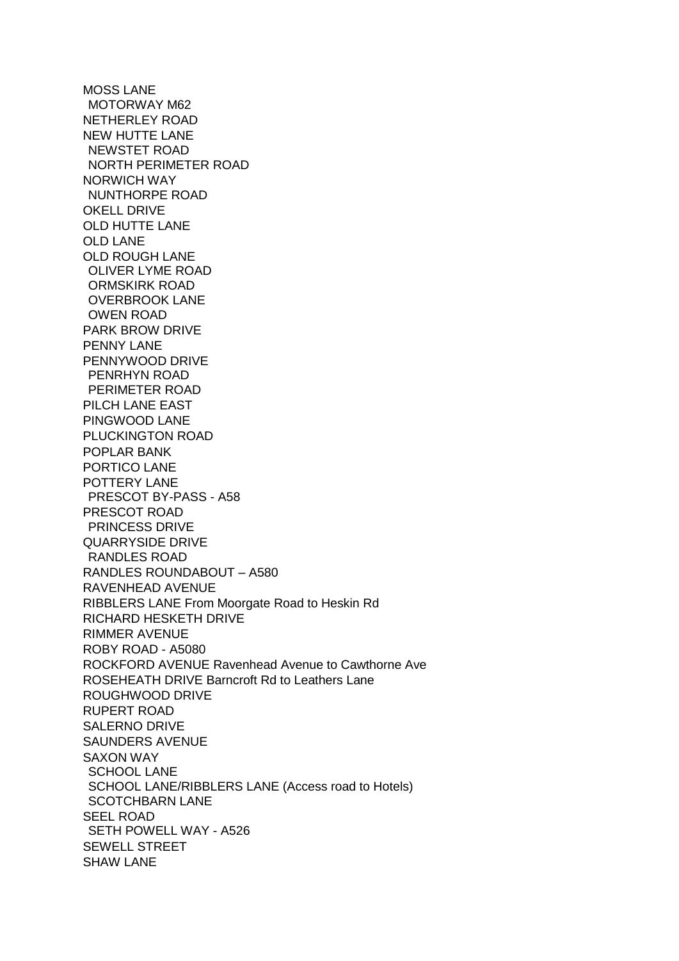MOSS LANE MOTORWAY M62 NETHERLEY ROAD NEW HUTTE LANE NEWSTET ROAD NORTH PERIMETER ROAD NORWICH WAY NUNTHORPE ROAD OKELL DRIVE OLD HUTTE LANE OLD LANE OLD ROUGH LANE OLIVER LYME ROAD ORMSKIRK ROAD OVERBROOK LANE OWEN ROAD PARK BROW DRIVE PENNY LANE PENNYWOOD DRIVE PENRHYN ROAD PERIMETER ROAD PILCH LANE EAST PINGWOOD LANE PLUCKINGTON ROAD POPLAR BANK PORTICO LANE POTTERY LANE PRESCOT BY-PASS - A58 PRESCOT ROAD PRINCESS DRIVE QUARRYSIDE DRIVE RANDLES ROAD RANDLES ROUNDABOUT – A580 RAVENHEAD AVENUE RIBBLERS LANE From Moorgate Road to Heskin Rd RICHARD HESKETH DRIVE RIMMER AVENUE ROBY ROAD - A5080 ROCKFORD AVENUE Ravenhead Avenue to Cawthorne Ave ROSEHEATH DRIVE Barncroft Rd to Leathers Lane ROUGHWOOD DRIVE RUPERT ROAD SALERNO DRIVE SAUNDERS AVENUE SAXON WAY SCHOOL LANE SCHOOL LANE/RIBBLERS LANE (Access road to Hotels) SCOTCHBARN LANE SEEL ROAD SETH POWELL WAY - A526 SEWELL STREET SHAW LANE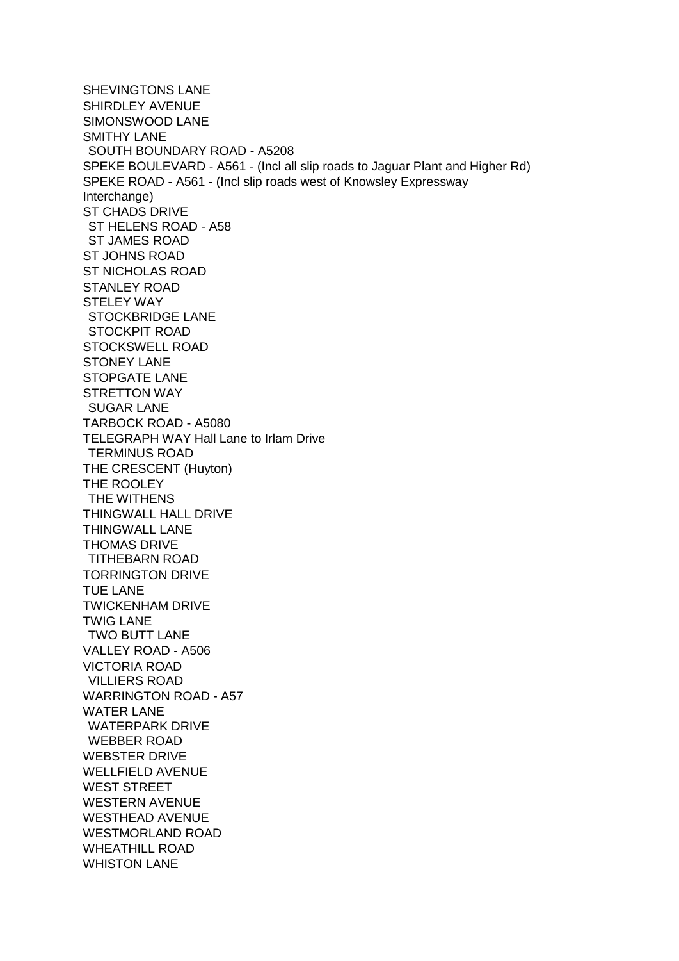SHEVINGTONS LANE SHIRDLEY AVENUE SIMONSWOOD LANE SMITHY LANE SOUTH BOUNDARY ROAD - A5208 SPEKE BOULEVARD - A561 - (Incl all slip roads to Jaguar Plant and Higher Rd) SPEKE ROAD - A561 - (Incl slip roads west of Knowsley Expressway Interchange) ST CHADS DRIVE ST HELENS ROAD - A58 ST JAMES ROAD ST JOHNS ROAD ST NICHOLAS ROAD STANLEY ROAD STELEY WAY STOCKBRIDGE LANE STOCKPIT ROAD STOCKSWELL ROAD STONEY LANE STOPGATE LANE STRETTON WAY SUGAR LANE TARBOCK ROAD - A5080 TELEGRAPH WAY Hall Lane to Irlam Drive TERMINUS ROAD THE CRESCENT (Huyton) THE ROOLEY THE WITHENS THINGWALL HALL DRIVE THINGWALL LANE THOMAS DRIVE TITHEBARN ROAD TORRINGTON DRIVE TUE LANE TWICKENHAM DRIVE TWIG LANE TWO BUTT LANE VALLEY ROAD - A506 VICTORIA ROAD VILLIERS ROAD WARRINGTON ROAD - A57 WATER I ANF WATERPARK DRIVE WEBBER ROAD WEBSTER DRIVE WELLFIELD AVENUE WEST STREET WESTERN AVENUE WESTHEAD AVENUE WESTMORLAND ROAD WHEATHILL ROAD WHISTON LANE